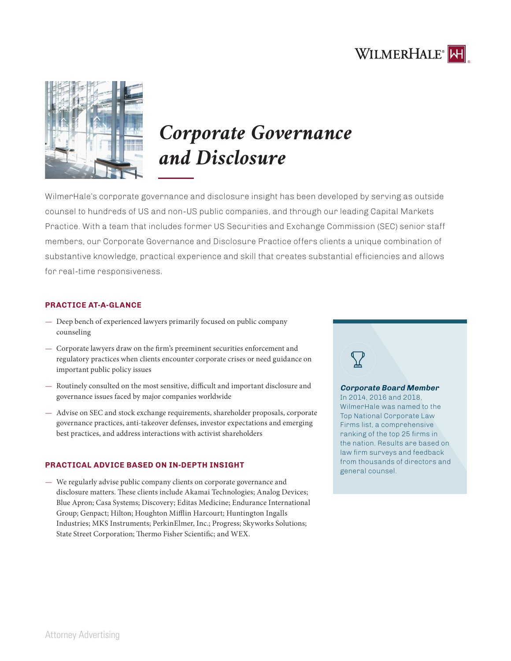



# *Corporate Governance and Disclosure*

WilmerHale's corporate governance and disclosure insight has been developed by serving as outside counsel to hundreds of US and non-US public companies, and through our leading Capital Markets Practice. With a team that includes former US Securities and Exchange Commission (SEC) senior staff members, our Corporate Governance and Disclosure Practice offers clients a unique combination of substantive knowledge, practical experience and skill that creates substantial efficiencies and allows for real-time responsiveness.

# **PRACTICE AT-A-GLANCE**

- Deep bench of experienced lawyers primarily focused on public company counseling
- Corporate lawyers draw on the firm's preeminent securities enforcement and regulatory practices when clients encounter corporate crises or need guidance on important public policy issues
- Routinely consulted on the most sensitive, difficult and important disclosure and governance issues faced by major companies worldwide
- Advise on SEC and stock exchange requirements, shareholder proposals, corporate governance practices, anti-takeover defenses, investor expectations and emerging best practices, and address interactions with activist shareholders

## **PRACTICAL ADVICE BASED ON IN-DEPTH INSIGHT**

— We regularly advise public company clients on corporate governance and disclosure matters. These clients include Akamai Technologies; Analog Devices; Blue Apron; Casa Systems; Discovery; Editas Medicine; Endurance International Group; Genpact; Hilton; Houghton Mifflin Harcourt; Huntington Ingalls Industries; MKS Instruments; PerkinElmer, Inc.; Progress; Skyworks Solutions; State Street Corporation; Thermo Fisher Scientific; and WEX.

## **Corporate Board Member**  In 2014, 2016 and 2018, WilmerHale was named to the Top National Corporate Law Firms list, a comprehensive ranking of the top 25 firms in the nation. Results are based on law firm surveys and feedback from thousands of directors and general counsel.